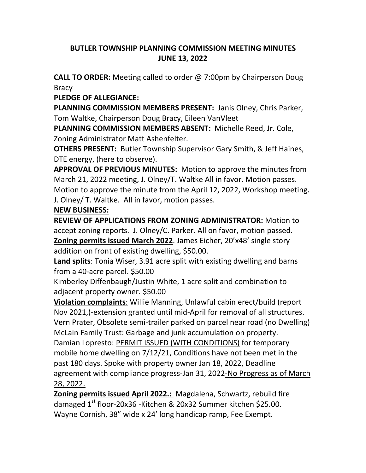## **BUTLER TOWNSHIP PLANNING COMMISSION MEETING MINUTES JUNE 13, 2022**

**CALL TO ORDER:** Meeting called to order @ 7:00pm by Chairperson Doug Bracy

**PLEDGE OF ALLEGIANCE:**

**PLANNING COMMISSION MEMBERS PRESENT:** Janis Olney, Chris Parker, Tom Waltke, Chairperson Doug Bracy, Eileen VanVleet

**PLANNING COMMISSION MEMBERS ABSENT:** Michelle Reed, Jr. Cole, Zoning Administrator Matt Ashenfelter.

**OTHERS PRESENT:** Butler Township Supervisor Gary Smith, & Jeff Haines, DTE energy, (here to observe).

**APPROVAL OF PREVIOUS MINUTES:** Motion to approve the minutes from March 21, 2022 meeting, J. Olney/T. Waltke All in favor. Motion passes. Motion to approve the minute from the April 12, 2022, Workshop meeting. J. Olney/ T. Waltke. All in favor, motion passes.

## **NEW BUSINESS:**

**REVIEW OF APPLICATIONS FROM ZONING ADMINISTRATOR:** Motion to accept zoning reports. J. Olney/C. Parker. All on favor, motion passed. **Zoning permits issued March 2022**. James Eicher, 20'x48' single story addition on front of existing dwelling, \$50.00.

**Land splits**: Tonia Wiser, 3.91 acre split with existing dwelling and barns from a 40-acre parcel. \$50.00

Kimberley Diffenbaugh/Justin White, 1 acre split and combination to adjacent property owner. \$50.00

**Violation complaints**: Willie Manning, Unlawful cabin erect/build (report Nov 2021,)-extension granted until mid-April for removal of all structures. Vern Prater, Obsolete semi-trailer parked on parcel near road (no Dwelling) McLain Family Trust: Garbage and junk accumulation on property. Damian Lopresto: PERMIT ISSUED (WITH CONDITIONS) for temporary mobile home dwelling on 7/12/21, Conditions have not been met in the past 180 days. Spoke with property owner Jan 18, 2022, Deadline agreement with compliance progress-Jan 31, 2022-No Progress as of March 28, 2022.

**Zoning permits issued April 2022.:** Magdalena, Schwartz, rebuild fire damaged 1<sup>st</sup> floor-20x36 -Kitchen & 20x32 Summer kitchen \$25.00. Wayne Cornish, 38" wide x 24' long handicap ramp, Fee Exempt.